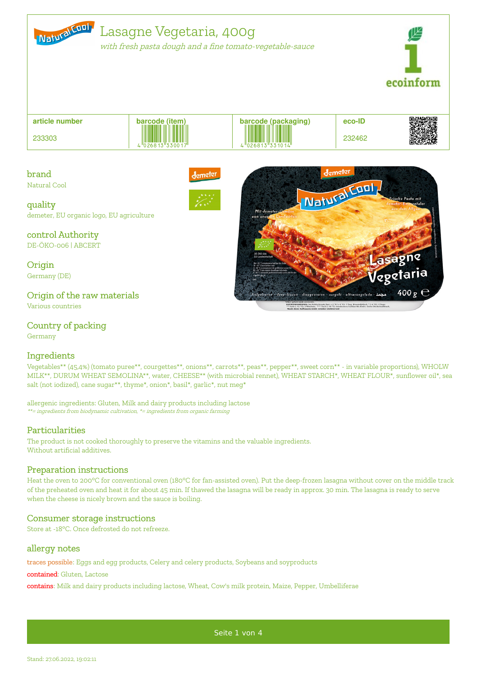

with fresh pasta dough and <sup>a</sup> fine tomato-vegetable-sauce



Lasagne Vegetal

 $400<sub>g</sub>$ 

Watural Cool

en : deep-frozen : diepgevroren : surgelé : ultracongelado <mark>: عمد</mark>

+4 °C): 1 Tag; Eiswürfelfach \* (-6 °C)<br>indestens haltbar bis Ende: Siehe De

| article number | barcode (item)           |                   | eco-ID | の にっぽん しょうかん しょうかん しょうかん しょうかん しょうかい こうきょう こうきょう こうきょう こうきょう しょうきょう かいきょう かいきょう しょうきょう しょうきょう しょうしゃ<br>. K |
|----------------|--------------------------|-------------------|--------|------------------------------------------------------------------------------------------------------------|
| 233303         | $4\sqrt{1026813}$ 330017 | $\frac{1}{26813}$ | 232462 | <b>RANGE</b>                                                                                               |

brand Natural Cool lemete



control Authority

DE-ÖKO-006 | ABCERT

**Origin** Germany (DE)

## Origin of the raw materials

Various countries

# Country of packing

Germany

### Ingredients

Vegetables\*\* (45,4%) (tomato puree\*\*, courgettes\*\*, onions\*\*, carrots\*\*, peas\*\*, pepper\*\*, sweet corn\*\* - in variable proportions), WHOLW MILK\*\*, DURUM WHEAT SEMOLINA\*\*, water, CHEESE\*\* (with microbial rennet), WHEAT STARCH\*, WHEAT FLOUR\*, sunflower oil\*, sea salt (not iodized), cane sugar\*\*, thyme\*, onion\*, basil\*, garlic\*, nut meg\*

allergenic ingredients: Gluten, Milk and dairy products including lactose \*\*= ingredients from biodynamic cultivation, \*= ingredients from organic farming

### Particularities

The product is not cooked thoroughly to preserve the vitamins and the valuable ingredients. Without artificial additives.

### Preparation instructions

Heat the oven to 200°C for conventional oven (180°C for fan-assisted oven). Put the deep-frozen lasagna without cover on the middle track of the preheated oven and heat it for about 45 min. If thawed the lasagna will be ready in approx. 30 min. The lasagna is ready to serve when the cheese is nicely brown and the sauce is boiling.

### Consumer storage instructions

Store at -18°C. Once defrosted do not refreeze.

#### allergy notes

traces possible: Eggs and egg products, Celery and celery products, Soybeans and soyproducts

contained: Gluten, Lactose

contains: Milk and dairy products including lactose, Wheat, Cow's milk protein, Maize, Pepper, Umbelliferae

Seite 1 von 4

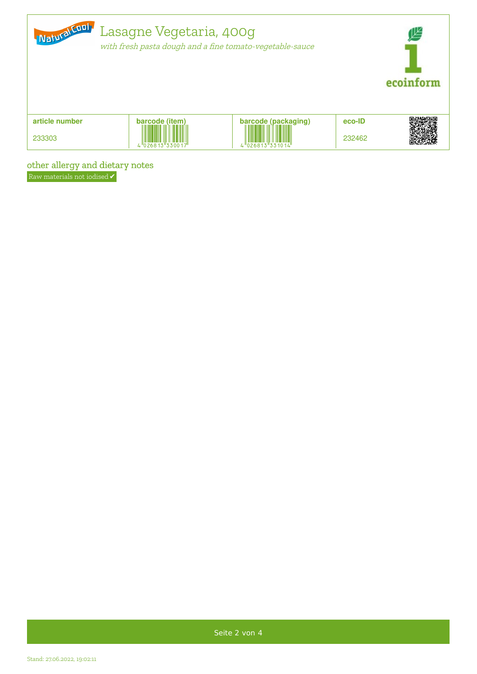| Natural Cool   | Lasagne Vegetaria, 400g<br>with fresh pasta dough and a fine tomato-vegetable-sauce |                     |        |  |
|----------------|-------------------------------------------------------------------------------------|---------------------|--------|--|
| article number | barcode (item)                                                                      | barcode (packaging) | eco-ID |  |
| 233303         | $\frac{107681}{2681}$                                                               | $1026813$ 33        | 232462 |  |

other allergy and dietary notes

Raw materials not iodised  $\checkmark$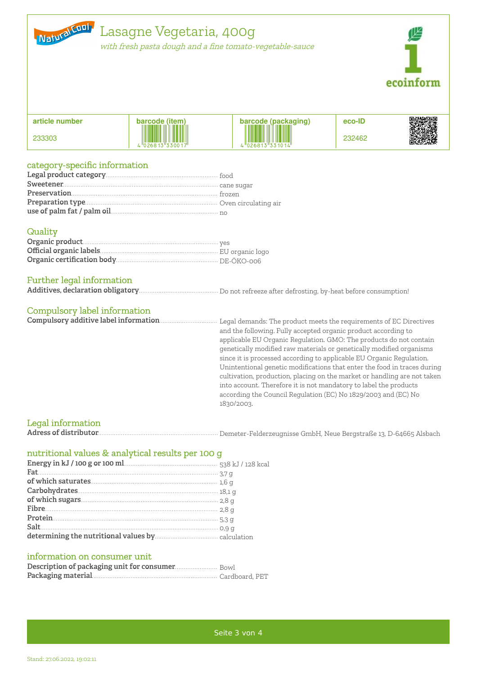

with fresh pasta dough and <sup>a</sup> fine tomato-vegetable-sauce



| article number | barcode (item)                                        |                                                              | eco-ID |  |
|----------------|-------------------------------------------------------|--------------------------------------------------------------|--------|--|
| 233303         | <b>THE REAL PROPERTY AND IN</b><br>$1026813$ $330017$ | <b>\rcode (packaging)</b><br>██████████<br>$"$ 26813"331014" | 232462 |  |

### category-specific information

#### **Quality**

### Further legal information

```
Additives, declaration obligatory. . . . . . . . . . . . . . . . . . . . . . . . . . . . . . . . . . . . . . . . . . . . . .D. . .o. . .n. .o. .t. . .r.e. .f. .r.e. .e. .z. .e. . .a. .f.t. .e. .r. .d. .e. .f. .r.o. .s. .t. .i.n. .g. . . . . . . . . . . . . . . . . . . . . . . . . . . . . . . . . . . . . . . . . . . . . . . . . . . . . . . , by-heat before consumption!
```
### Compulsory label information

**Compulsory additive label information. . . . . . . . . . . . . . . . . . . . . . . . . . . . . . . . . . .**L**. .**e**. .**g**. .**a**. . . . . . . . . . . . . . . . . . . . . . . . . . . . . . . . . . . . . . . . . . . . . . . . . . . . . . . . . . . . . . . . . . . . . . . . . . . . . . . . . . . . . . . . . . . . . . . . . . . . . . . . . . . . . . . . .** l demands: The product meets the requirements of EC Directives and the following. Fully accepted organic product according to applicable EU Organic Regulation. GMO: The products do not contain genetically modified raw materials or genetically modified organisms since it is processed according to applicable EU Organic Regulation. Unintentional genetic modifications that enter the food in traces during cultivation, production, placing on the market or handling are not taken into account. Therefore it is not mandatory to label the products according the Council Regulation (EC) No 1829/2003 and (EC) No 1830/2003.

### Legal information

**Adress of distributor. . . . . . . . . . . . . . . . . . . . . . . . . . . . . . . . . . . . . . . . . . . . . . . . . . . . . . . . . . . . . . . . . . . . .**D**. . .**e**. .**m**. . .**e**. .**t**. .**e**. .**r**.**-**. .**F**. .**e**. . . . . . . . . . . . . . . . . . . . . . . . . . . . . . . . . . . . . . . . . . . . . . . . . . . . . . . . . . . . . . . . . .** lderzeugnisse GmbH, Neue Bergstraße 13, D-64665 Alsbach

## nutritional values & analytical results per 100 g

| $% \mathcal{M}_{1}$ of which saturates<br>$% \mathcal{M}_{2}$ is $% \mathcal{M}_{3}$ . $% \mathcal{M}_{4}$ is $% \mathcal{M}_{4}$<br>and $\mathcal{M}_{5}$ and $\mathcal{M}_{6}$ is $\mathcal{M}_{7}$ |  |
|-------------------------------------------------------------------------------------------------------------------------------------------------------------------------------------------------------|--|
|                                                                                                                                                                                                       |  |
|                                                                                                                                                                                                       |  |
|                                                                                                                                                                                                       |  |
|                                                                                                                                                                                                       |  |
|                                                                                                                                                                                                       |  |
|                                                                                                                                                                                                       |  |
|                                                                                                                                                                                                       |  |

#### information on consumer unit